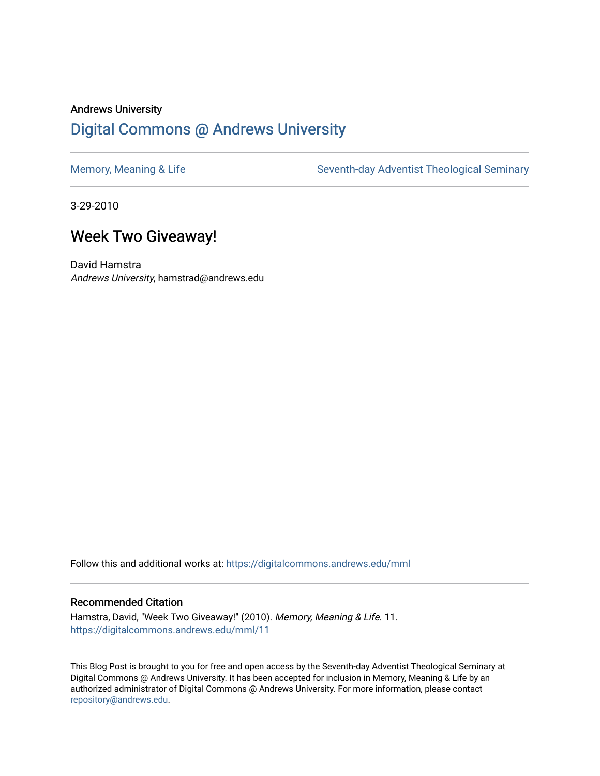## Andrews University [Digital Commons @ Andrews University](https://digitalcommons.andrews.edu/)

[Memory, Meaning & Life](https://digitalcommons.andrews.edu/mml) Seventh-day Adventist Theological Seminary

3-29-2010

## Week Two Giveaway!

David Hamstra Andrews University, hamstrad@andrews.edu

Follow this and additional works at: [https://digitalcommons.andrews.edu/mml](https://digitalcommons.andrews.edu/mml?utm_source=digitalcommons.andrews.edu%2Fmml%2F11&utm_medium=PDF&utm_campaign=PDFCoverPages) 

## Recommended Citation

Hamstra, David, "Week Two Giveaway!" (2010). Memory, Meaning & Life. 11. [https://digitalcommons.andrews.edu/mml/11](https://digitalcommons.andrews.edu/mml/11?utm_source=digitalcommons.andrews.edu%2Fmml%2F11&utm_medium=PDF&utm_campaign=PDFCoverPages)

This Blog Post is brought to you for free and open access by the Seventh-day Adventist Theological Seminary at Digital Commons @ Andrews University. It has been accepted for inclusion in Memory, Meaning & Life by an authorized administrator of Digital Commons @ Andrews University. For more information, please contact [repository@andrews.edu](mailto:repository@andrews.edu).